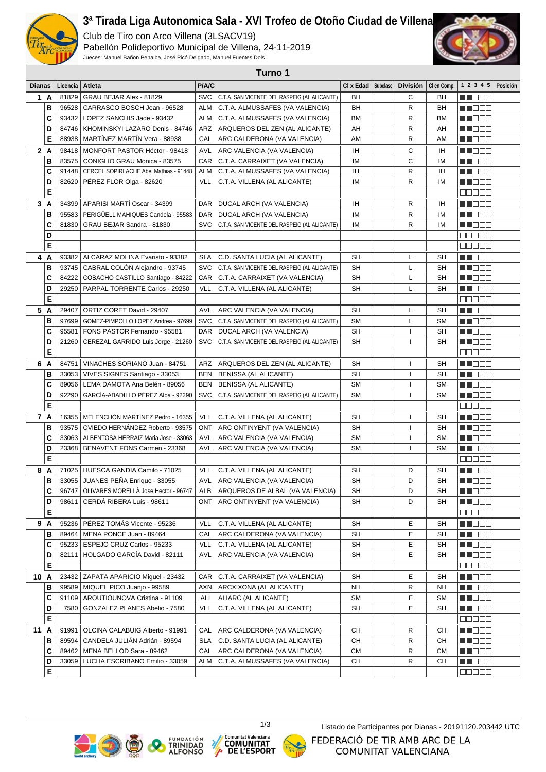

## **3ª Tirada Liga Autonomica Sala - XVI Trofeo de Otoño Ciudad de Villena**

Club de Tiro con Arco Villena (3LSACV19) Pabellón Polideportivo Municipal de Villena, 24-11-2019

Jueces: Manuel Bañon Penalba, José Picó Delgado, Manuel Fuentes Dols



| Turno 1       |        |                |                                        |            |                                                  |           |          |                 |             |                        |          |
|---------------|--------|----------------|----------------------------------------|------------|--------------------------------------------------|-----------|----------|-----------------|-------------|------------------------|----------|
| <b>Dianas</b> |        | Licencia       | Atleta                                 | P/A/C      |                                                  | CI x Edad | Subclase | <b>División</b> | CI en Comp. | 1 2 3 4 5              | Posición |
| 1A            |        | 81829          | GRAU BEJAR Alex - 81829                |            | SVC C.T.A. SAN VICENTE DEL RASPEIG (AL ALICANTE) | BH        |          | С               | BH          | <u> Hele</u>           |          |
|               | В      | 96528          | CARRASCO BOSCH Joan - 96528            | ALM        | C.T.A. ALMUSSAFES (VA VALENCIA)                  | BH        |          | R               | BH          | M D D D                |          |
| C             |        | 93432          | LOPEZ SANCHIS Jade - 93432             | ALM        | C.T.A. ALMUSSAFES (VA VALENCIA)                  | <b>BM</b> |          | R               | BM          | <u> Literatu</u>       |          |
|               | D      | 84746          | KHOMINSKYI LAZARO Denis - 84746        |            | ARZ ARQUEROS DEL ZEN (AL ALICANTE)               | AH        |          | R               | AH          | M NOCI                 |          |
|               | Е      | 88938          | MARTINEZ MARTIN Vera - 88938           |            | CAL ARC CALDERONA (VA VALENCIA)                  | AM        |          | R               | AM          | M NO O O               |          |
|               | 2 A    | 98418          | MONFORT PASTOR Héctor - 98418          |            | AVL ARC VALENCIA (VA VALENCIA)                   | IH        |          | С               | IH          | M DO B                 |          |
|               | В      |                | 83575   CONIGLIO GRAU Monica - 83575   | CAR        | C.T.A. CARRAIXET (VA VALENCIA)                   | IM        |          | C               | <b>IM</b>   | MT E E E               |          |
|               | C      | 91448          | CERCEL SOPIRLACHE Abel Mathias - 91448 | <b>ALM</b> | C.T.A. ALMUSSAFES (VA VALENCIA)                  | IH        |          | R               | IH          | N NO DE                |          |
|               | D      | 82620          | PÉREZ FLOR Olga - 82620                | VLL        | C.T.A. VILLENA (AL ALICANTE)                     | IM        |          | R               | IM          | M DE S                 |          |
|               | E      |                |                                        |            |                                                  |           |          |                 |             | 88888                  |          |
| 3 A           |        |                | 34399 APARISI MARTÍ Oscar - 34399      | DAR        | DUCAL ARCH (VA VALENCIA)                         | IH        |          | R               | IH          | M DE B                 |          |
| В             |        | 95583          | PERIGÜELL MAHIQUES Candela - 95583     | <b>DAR</b> | DUCAL ARCH (VA VALENCIA)                         | IM        |          | R               | IM          | N I E E E              |          |
|               | C      | 81830          | GRAU BEJAR Sandra - 81830              |            | SVC C.T.A. SAN VICENTE DEL RASPEIG (AL ALICANTE) | IM        |          | R               | IM          | M DO D                 |          |
|               | D      |                |                                        |            |                                                  |           |          |                 |             | ana ao                 |          |
|               | Е      |                |                                        |            |                                                  |           |          |                 |             | 00000                  |          |
|               | 4 A    | 93382          | ALCARAZ MOLINA Evaristo - 93382        | SLA        | C.D. SANTA LUCIA (AL ALICANTE)                   | <b>SH</b> |          | L               | SН          | MN 888                 |          |
|               | в      | 93745          | CABRAL COLÓN Alejandro - 93745         | <b>SVC</b> | C.T.A. SAN VICENTE DEL RASPEIG (AL ALICANTE)     | <b>SH</b> |          | L               | SН          | M D D D                |          |
|               | C      | 84222          | COBACHO CASTILLO Santiago - 84222      | CAR        | C.T.A. CARRAIXET (VA VALENCIA)                   | <b>SH</b> |          | L               | SН          |                        |          |
|               | D      | 29250          | PARPAL TORRENTE Carlos - 29250         | <b>VLL</b> | C.T.A. VILLENA (AL ALICANTE)                     | <b>SH</b> |          | L               | SH          | <u> Literatu</u>       |          |
|               | E      |                |                                        |            |                                                  |           |          |                 |             | 88888                  |          |
| 5 A           |        | 29407          | ORTIZ CORET David - 29407              | AVL        | ARC VALENCIA (VA VALENCIA)                       | SH        |          | L               | SН          | MU OO O                |          |
|               | в      | 97699          | GOMEZ-PIMPOLLO LOPEZ Andrea - 97699    | <b>SVC</b> | C.T.A. SAN VICENTE DEL RASPEIG (AL ALICANTE)     | <b>SM</b> |          | L               | <b>SM</b>   | n de e                 |          |
|               | C      | 95581          | FONS PASTOR Fernando - 95581           |            | DAR DUCAL ARCH (VA VALENCIA)                     | <b>SH</b> |          | ı               | SH          | <u>Li i Biblio</u>     |          |
|               | D      | 21260          | CEREZAL GARRIDO Luis Jorge - 21260     |            | SVC C.T.A. SAN VICENTE DEL RASPEIG (AL ALICANTE) | <b>SH</b> |          | L               | SH          | M DEC                  |          |
|               | Е      |                |                                        |            |                                                  |           |          |                 |             | 88888                  |          |
| 6 A           |        | 84751          | VINACHES SORIANO Juan - 84751          | ARZ        | ARQUEROS DEL ZEN (AL ALICANTE)                   | SН        |          | L               | SН          | MT E E E               |          |
|               | в      | 33053          | VIVES SIGNES Santiago - 33053          | BEN        | <b>BENISSA (AL ALICANTE)</b>                     | SH        |          | L               | SН          | M DE S                 |          |
|               | C      | 89056          | LEMA DAMOTA Ana Belén - 89056          | BEN        | <b>BENISSA (AL ALICANTE)</b>                     | <b>SM</b> |          | L               | <b>SM</b>   | <u>Li i Biblio</u>     |          |
|               | D      | 92290          | GARCÍA-ABADILLO PÉREZ Alba - 92290     |            | SVC C.T.A. SAN VICENTE DEL RASPEIG (AL ALICANTE) | <b>SM</b> |          | L               | <b>SM</b>   | M S S S S              |          |
|               | Е      |                |                                        |            |                                                  |           |          |                 |             | 80000                  |          |
|               | 7 A    | 16355          | MELENCHÓN MARTÍNEZ Pedro - 16355       | VLL        | C.T.A. VILLENA (AL ALICANTE)                     | SH        |          | L               | SН          | MN 888                 |          |
|               | в      | 93575          | OVIEDO HERNÁNDEZ Roberto - 93575       | <b>ONT</b> | ARC ONTINYENT (VA VALENCIA)                      | <b>SH</b> |          | ı               | SH          | M DO D                 |          |
|               | C      | 33063          | ALBENTOSA HERRAIZ Maria Jose - 33063   | AVL        | ARC VALENCIA (VA VALENCIA)                       | <b>SM</b> |          | ı               | <b>SM</b>   | M NO BEL               |          |
|               | D      | 23368          | BENAVENT FONS Carmen - 23368           |            | AVL ARC VALENCIA (VA VALENCIA)                   | <b>SM</b> |          | ı               | <b>SM</b>   | M DO O                 |          |
|               | E      |                |                                        |            |                                                  |           |          |                 |             | e e e e                |          |
| 8 A           |        |                | 71025   HUESCA GANDIA Camilo - 71025   |            | VLL C.T.A. VILLENA (AL ALICANTE)                 | SH        |          | D               | SH          | M NO O O               |          |
|               | B      |                | 33055 JUANES PEÑA Enrique - 33055      |            | AVL ARC VALENCIA (VA VALENCIA)                   | SH        |          | D               | SH          | <b>HE</b> OOO          |          |
|               | C      | 96747          | OLIVARES MORELLÀ Jose Hector - 96747   | ALB        | ARQUEROS DE ALBAL (VA VALENCIA)                  | SН        |          | D               | SН          | <u> Literatu</u>       |          |
|               | D      | 98611          | CERDÁ RIBERA Luís - 98611              | ONT        | ARC ONTINYENT (VA VALENCIA)                      | SH        |          | D               | SН          | <u> Here i Br</u>      |          |
|               | Е      |                |                                        |            |                                                  |           |          |                 |             | ME S S S               |          |
|               | 9 A    |                | 95236   PÉREZ TOMÁS Vicente - 95236    | <b>VLL</b> | C.T.A. VILLENA (AL ALICANTE)                     | SН        |          | Е               | SН          | <u> Literatu</u>       |          |
|               | в      | 89464          | MENA PONCE Juan - 89464                | CAL        | ARC CALDERONA (VA VALENCIA)                      | SH        |          | Е               | SН          | <u> Historia e la </u> |          |
|               | C      | 95233          | ESPEJO CRUZ Carlos - 95233             | VLL        | C.T.A. VILLENA (AL ALICANTE)                     | SН        |          | Е               | SН          | <u> Literatur</u>      |          |
|               | D      | 82111          | HOLGADO GARCÍA David - 82111           |            | AVL ARC VALENCIA (VA VALENCIA)                   | SН        |          | E.              | SН          | <u> Nijerije pre</u>   |          |
|               | Е      |                |                                        |            |                                                  |           |          |                 |             | MOND D                 |          |
| 10 A          |        |                | 23432 ZAPATA APARICIO Miquel - 23432   |            | CAR C.T.A. CARRAIXET (VA VALENCIA)               | SH        |          | Е               | SН          | <b>HELED</b>           |          |
|               | в      | 99589          | MIQUEL PICO Juanjo - 99589             |            | AXN ARCXIXONA (AL ALICANTE)                      | NH        |          | R               | <b>NH</b>   | <u> Holland</u>        |          |
|               | C      |                | 91109   AROUTIOUNOVA Cristina - 91109  | ALI        | ALIARC (AL ALICANTE)                             | SM        |          | Е               | <b>SM</b>   | M DE S                 |          |
|               | D      | 7580           | GONZALEZ PLANES Abelio - 7580          |            | VLL C.T.A. VILLENA (AL ALICANTE)                 | SН        |          | Е               | SН          | <u> Nijeliške pre</u>  |          |
|               | Е      |                |                                        |            |                                                  |           |          |                 |             | كالحاكاكا              |          |
| 11 A          |        | 91991          | OLCINA CALABUIG Alberto - 91991        | CAL        | ARC CALDERONA (VA VALENCIA)                      | CН        |          | R               | CН          | <u> Lista de la </u>   |          |
|               | в      | 89594          | CANDELA JULIÁN Adrián - 89594          | SLA        | C.D. SANTA LUCIA (AL ALICANTE)                   | CН        |          | R               | CН          | <u> Here e la</u>      |          |
|               | C      | 89462<br>33059 | MENA BELLOD Sara - 89462               |            | CAL ARC CALDERONA (VA VALENCIA)                  | CM<br>CН  |          | R<br>R          | СM<br>CН    | M O O O                |          |
|               | D<br>E |                | LUCHA ESCRIBANO Emilio - 33059         |            | ALM C.T.A. ALMUSSAFES (VA VALENCIA)              |           |          |                 |             |                        |          |
|               |        |                |                                        |            |                                                  |           |          |                 |             | 88888                  |          |









1/3 Listado de Participantes por Dianas - 20191120.203442 UTCFEDERACIÓ DE TIR AMB ARC DE LA COMUNITAT VALENCIANA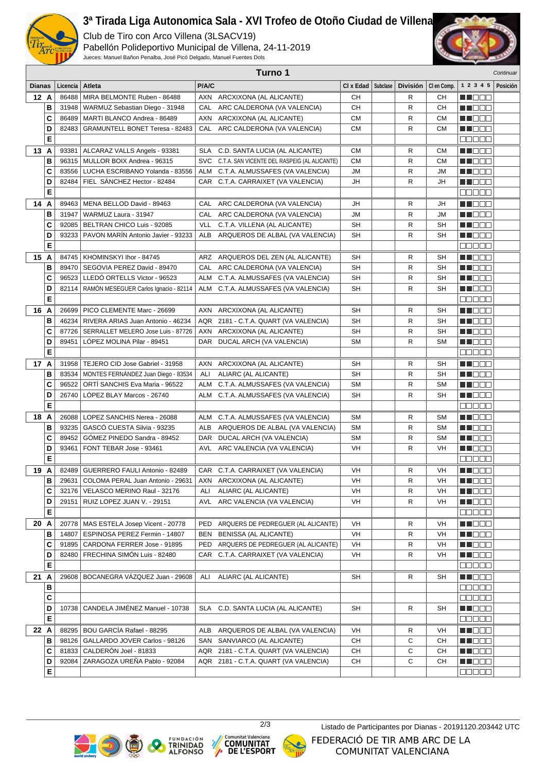

## **3ª Tirada Liga Autonomica Sala - XVI Trofeo de Otoño Ciudad de Villena**

Club de Tiro con Arco Villena (3LSACV19)

Pabellón Polideportivo Municipal de Villena, 24-11-2019 Jueces: Manuel Bañon Penalba, José Picó Delgado, Manuel Fuentes Dols



|               | Turno 1<br>Continuar |                                  |                                                                         |       |                                                  |           |          |              |             |                                                  |          |
|---------------|----------------------|----------------------------------|-------------------------------------------------------------------------|-------|--------------------------------------------------|-----------|----------|--------------|-------------|--------------------------------------------------|----------|
| <b>Dianas</b> |                      | Licencia                         | Atleta                                                                  | P/A/C |                                                  | CI x Edad | Subclase | División     | CI en Comp. | 1 2 3 4 5                                        | Posición |
| 12A           |                      | 86488                            | MIRA BELMONTE Ruben - 86488                                             |       | AXN ARCXIXONA (AL ALICANTE)                      | CН        |          | R            | CН          | MT OO S                                          |          |
|               | B                    |                                  | 31948   WARMUZ Sebastian Diego - 31948                                  |       | CAL ARC CALDERONA (VA VALENCIA)                  | CН        |          | R            | <b>CH</b>   | N NO D O                                         |          |
|               | C                    |                                  | 86489   MARTI BLANCO Andrea - 86489                                     |       | AXN ARCXIXONA (AL ALICANTE)                      | <b>CM</b> |          | R            | <b>CM</b>   | <u> Literatu</u>                                 |          |
|               | D                    | 82483                            | <b>GRAMUNTELL BONET Teresa - 82483</b>                                  |       | CAL ARC CALDERONA (VA VALENCIA)                  | <b>CM</b> |          | R            | <b>CM</b>   | M DE B                                           |          |
|               | E                    |                                  |                                                                         |       |                                                  |           |          |              |             | 88888                                            |          |
| 13 A          |                      |                                  | 93381   ALCARAZ VALLS Angels - 93381                                    | SLA   | C.D. SANTA LUCIA (AL ALICANTE)                   | <b>CM</b> |          | R            | <b>CM</b>   | MN 888                                           |          |
|               | В                    |                                  | 96315   MULLOR BOIX Andrea - 96315                                      |       | SVC C.T.A. SAN VICENTE DEL RASPEIG (AL ALICANTE) | <b>CM</b> |          | R            | <b>CM</b>   | N I E E E                                        |          |
|               | C                    | 83556                            | LUCHA ESCRIBANO Yolanda - 83556                                         | ALM   | C.T.A. ALMUSSAFES (VA VALENCIA)                  | JM        |          | R            | JМ          | M DE B                                           |          |
|               | D                    | 82484                            | FIEL SÁNCHEZ Hector - 82484                                             |       | CAR C.T.A. CARRAIXET (VA VALENCIA)               | JH        |          | R            | JH          | M D D D                                          |          |
|               | Е                    |                                  |                                                                         |       |                                                  |           |          |              |             | 88888                                            |          |
| 14A           |                      | 89463                            | MENA BELLOD David - 89463                                               |       | CAL ARC CALDERONA (VA VALENCIA)                  | JH        |          | R            | JH          | MN OO O                                          |          |
|               | в                    | 31947                            | WARMUZ Laura - 31947                                                    |       | CAL ARC CALDERONA (VA VALENCIA)                  | <b>JM</b> |          | R            | <b>JM</b>   | M DE B                                           |          |
|               | C                    |                                  | 92085   BELTRAN CHICO Luis - 92085                                      | VLL   | C.T.A. VILLENA (AL ALICANTE)                     | SH        |          | R            | <b>SH</b>   | M DE B                                           |          |
|               | D                    | 93233                            | PAVON MARIN Antonio Javier - 93233                                      | ALB   | ARQUEROS DE ALBAL (VA VALENCIA)                  | SH        |          | R            | <b>SH</b>   | M NO S O                                         |          |
|               | E                    |                                  |                                                                         |       |                                                  |           |          |              |             | 88888                                            |          |
| 15A           |                      |                                  | 84745   KHOMINSKYI Ihor - 84745                                         |       | ARZ ARQUEROS DEL ZEN (AL ALICANTE)               | SH        |          | R            | SH          | M S S S                                          |          |
|               | B                    |                                  | 89470   SEGOVIA PEREZ David - 89470                                     |       | CAL ARC CALDERONA (VA VALENCIA)                  | SH        |          | R            | SΗ          | N I E E E                                        |          |
|               | C                    |                                  | 96523 LLEDÓ ORTELLS Victor - 96523                                      |       | ALM C.T.A. ALMUSSAFES (VA VALENCIA)              | <b>SH</b> |          | R            | <b>SH</b>   | MI DE S                                          |          |
|               | D                    | 82114                            | RAMÓN MESEGUER Carlos Ignacio - 82114                                   |       | ALM C.T.A. ALMUSSAFES (VA VALENCIA)              | <b>SH</b> |          | R            | SH          | MU OO O                                          |          |
|               | E                    |                                  |                                                                         |       |                                                  |           |          |              |             | ooooo                                            |          |
| 16 A          |                      |                                  | 26699   PICO CLEMENTE Marc - 26699                                      | AXN   | ARCXIXONA (AL ALICANTE)                          | SH        |          | R            | SH          | MT E E E                                         |          |
|               | В                    |                                  | 46234   RIVERA ARIAS Juan Antonio - 46234                               |       | AQR 2181 - C.T.A. QUART (VA VALENCIA)            | <b>SH</b> |          | R            | <b>SH</b>   | n de e                                           |          |
|               | C                    |                                  | 87726   SERRALLET MELERO Jose Luis - 87726                              |       | AXN ARCXIXONA (AL ALICANTE)                      | <b>SH</b> |          | R            | <b>SH</b>   | M DOO                                            |          |
|               | D                    | 89451                            | LÓPEZ MOLINA Pilar - 89451                                              |       | DAR DUCAL ARCH (VA VALENCIA)                     | <b>SM</b> |          | R            | <b>SM</b>   | MUO OO                                           |          |
|               | E                    |                                  |                                                                         |       |                                                  |           |          |              |             | 88888                                            |          |
| 17 A          |                      |                                  | 31958   TEJERO CID Jose Gabriel - 31958                                 |       | AXN ARCXIXONA (AL ALICANTE)                      | SH        |          | R            | SH          | MNO BE                                           |          |
|               | в                    | 83534                            | MONTES FERNÁNDEZ Juan Diego - 83534                                     | ALI   | ALIARC (AL ALICANTE)                             | <b>SH</b> |          | R            | SH          | <u> El Bele</u>                                  |          |
|               | C                    | 96522                            | ORTI SANCHIS Eva Maria - 96522                                          | ALM   | C.T.A. ALMUSSAFES (VA VALENCIA)                  | SM        |          | R            | <b>SM</b>   | MI DE S                                          |          |
|               | D                    | 26740                            | LOPEZ BLAY Marcos - 26740                                               |       | ALM C.T.A. ALMUSSAFES (VA VALENCIA)              | SH        |          | R            | SH          | W NO O O                                         |          |
|               | E                    |                                  |                                                                         |       |                                                  |           |          |              |             | MEN E E                                          |          |
| 18 A          |                      |                                  | 26088   LOPEZ SANCHIS Nerea - 26088                                     |       | ALM C.T.A. ALMUSSAFES (VA VALENCIA)              | SM        |          | R            | <b>SM</b>   | M S S S                                          |          |
|               | B                    | 93235                            | GASCO CUESTA Silvia - 93235                                             |       | ALB ARQUEROS DE ALBAL (VA VALENCIA)              | <b>SM</b> |          | R            | <b>SM</b>   | N I E E E                                        |          |
|               | C                    | 89452                            | GÓMEZ PINEDO Sandra - 89452                                             |       | DAR DUCAL ARCH (VA VALENCIA)                     | <b>SM</b> |          | R            | <b>SM</b>   | M DE S                                           |          |
|               | D                    | 93461<br>FONT TEBAR Jose - 93461 |                                                                         |       | AVL ARC VALENCIA (VA VALENCIA)                   | VH        |          | R            | <b>VH</b>   | <u> Literatu</u>                                 |          |
|               | E                    |                                  |                                                                         |       |                                                  |           |          |              |             | 88888                                            |          |
| 19 A          |                      |                                  | 82489   GUERRERO FAULI Antonio - 82489                                  |       | CAR C.T.A. CARRAIXET (VA VALENCIA)               | VH        |          | R            | VH          | MT E E E                                         |          |
|               | $\, {\bf B}$         |                                  | 29631   COLOMA PERAL Juan Antonio - 29631   AXN ARCXIXONA (AL ALICANTE) |       |                                                  | VH        |          | $\mathsf{R}$ | VH          | $\blacksquare$ . $\blacksquare$ . $\blacksquare$ |          |
|               | C                    |                                  | 32176   VELASCO MERINO Raul - 32176                                     |       | ALI ALIARC (AL ALICANTE)                         | VH        |          | R            | VH          | <b>RECOR</b>                                     |          |
|               | D                    | 29151                            | RUIZ LOPEZ JUAN V. - 29151                                              |       | AVL ARC VALENCIA (VA VALENCIA)                   | VH        |          | R            | VH          | <u> Halis Se</u>                                 |          |
|               | E                    |                                  |                                                                         |       |                                                  |           |          |              |             | an da a                                          |          |
| 20 A          |                      |                                  | 20778   MAS ESTELA Josep Vicent - 20778                                 | PED   | ARQUERS DE PEDREGUER (AL ALICANTE)               | VH        |          | R            | VH          | MT DE L                                          |          |
|               | В                    | 14807                            | ESPINOSA PEREZ Fermin - 14807                                           | BEN   | <b>BENISSA (AL ALICANTE)</b>                     | VH        |          | R            | VH          | MU O O O                                         |          |
|               | C                    |                                  | 91895   CARDONA FERRER Jose - 91895                                     |       | PED ARQUERS DE PEDREGUER (AL ALICANTE)           | VH        |          | R            | VH          | <u>Li Li Li Li Li </u>                           |          |
|               | D                    |                                  | 82480   FRECHINA SIMÓN Luis - 82480                                     |       | CAR C.T.A. CARRAIXET (VA VALENCIA)               | VH        |          | R            | VH          | N NO O O                                         |          |
|               | E                    |                                  |                                                                         |       |                                                  |           |          |              |             | anaan a                                          |          |
| 21 A          |                      |                                  | 29608   BOCANEGRA VÁZQUEZ Juan - 29608                                  | ALI   | ALIARC (AL ALICANTE)                             | SH        |          | R            | SH          | MN 888                                           |          |
| В             |                      |                                  |                                                                         |       |                                                  |           |          |              |             | 88888                                            |          |
| $\mathbf{C}$  |                      |                                  |                                                                         |       |                                                  |           |          |              |             | <u>e e e e</u>                                   |          |
|               | D                    | 10738                            | CANDELA JIMÉNEZ Manuel - 10738                                          |       | SLA C.D. SANTA LUCIA (AL ALICANTE)               | SH        |          | R            | SH          | M S S S S                                        |          |
|               | E                    |                                  |                                                                         |       |                                                  |           |          |              |             | 88888                                            |          |
| 22 A          |                      |                                  | 88295 BOU GARCÍA Rafael - 88295                                         |       | ALB ARQUEROS DE ALBAL (VA VALENCIA)              | VH        |          | R            | VH          | M DE D                                           |          |
|               | В                    |                                  | 98126   GALLARDO JOVER Carlos - 98126                                   |       | SAN SANVIARCO (AL ALICANTE)                      | CН        |          | С            | <b>CH</b>   | <u> Nijele e</u>                                 |          |
|               | С                    |                                  | 81833 CALDERÓN Joel - 81833                                             |       | AQR 2181 - C.T.A. QUART (VA VALENCIA)            | CН        |          | C            | CН          | M NOOC                                           |          |
|               | D                    | 92084                            | ZARAGOZA UREÑA Pablo - 92084                                            |       | AQR 2181 - C.T.A. QUART (VA VALENCIA)            | CН        |          | С            | CН          | M NO O O                                         |          |
|               | E                    |                                  |                                                                         |       |                                                  |           |          |              |             | 88888                                            |          |









2/3 Listado de Participantes por Dianas - 20191120.203442 UTCFEDERACIÓ DE TIR AMB ARC DE LA COMUNITAT VALENCIANA